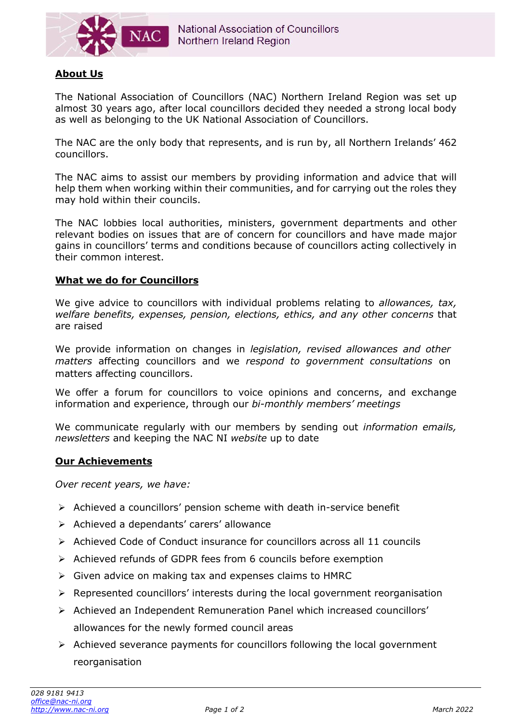

# **About Us**

The National Association of Councillors (NAC) Northern Ireland Region was set up almost 30 years ago, after local councillors decided they needed a strong local body as well as belonging to the UK National Association of Councillors.

The NAC are the only body that represents, and is run by, all Northern Irelands' 462 councillors.

The NAC aims to assist our members by providing information and advice that will help them when working within their communities, and for carrying out the roles they may hold within their councils.

The NAC lobbies local authorities, ministers, government departments and other relevant bodies on issues that are of concern for councillors and have made major gains in councillors' terms and conditions because of councillors acting collectively in their common interest.

### **What we do for Councillors**

We give advice to councillors with individual problems relating to *allowances, tax, welfare benefits, expenses, pension, elections, ethics, and any other concerns* that are raised

We provide information on changes in *legislation, revised allowances and other matters* affecting councillors and we *respond to government consultations* on matters affecting councillors.

We offer a forum for councillors to voice opinions and concerns, and exchange information and experience, through our *bi-monthly members' meetings*

We communicate regularly with our members by sending out *information emails, newsletters* and keeping the NAC NI *website* up to date

### **Our Achievements**

*Over recent years, we have:*

- ➢ Achieved a councillors' pension scheme with death in-service benefit
- ➢ Achieved a dependants' carers' allowance
- ➢ Achieved Code of Conduct insurance for councillors across all 11 councils
- ➢ Achieved refunds of GDPR fees from 6 councils before exemption
- ➢ Given advice on making tax and expenses claims to HMRC
- ➢ Represented councillors' interests during the local government reorganisation
- ➢ Achieved an Independent Remuneration Panel which increased councillors' allowances for the newly formed council areas
- ➢ Achieved severance payments for councillors following the local government reorganisation